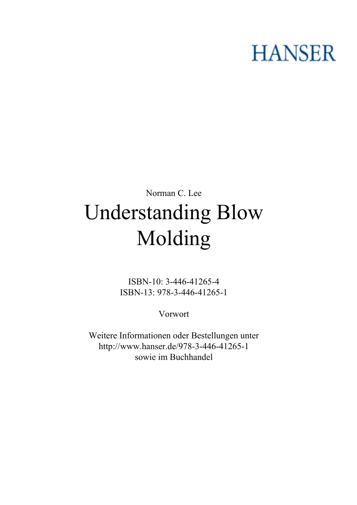## **HANSER**

## **Norman C. Lee Understanding Blow Molding**

**ISBN-10: 3-446-41265-4 ISBN-13: 978-3-446-41265-1**

**Vorwort**

**Weitere Informationen oder Bestellungen unter <http://www.hanser.de/978-3-446-41265-1> sowie im Buchhandel**